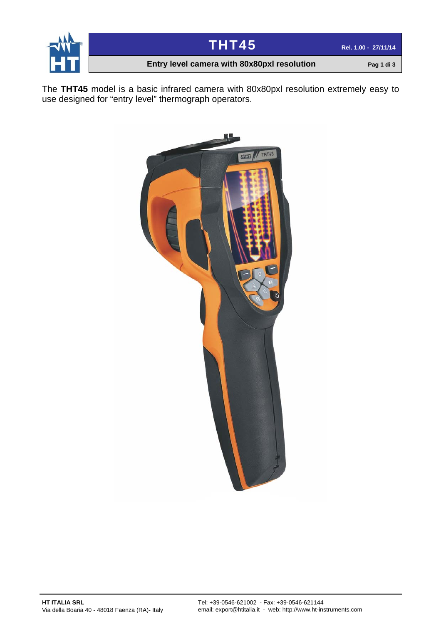



### **Entry level camera with 80x80pxl resolution Pag 1 di 3**

The **THT45** model is a basic infrared camera with 80x80pxl resolution extremely easy to use designed for "entry level" thermograph operators.

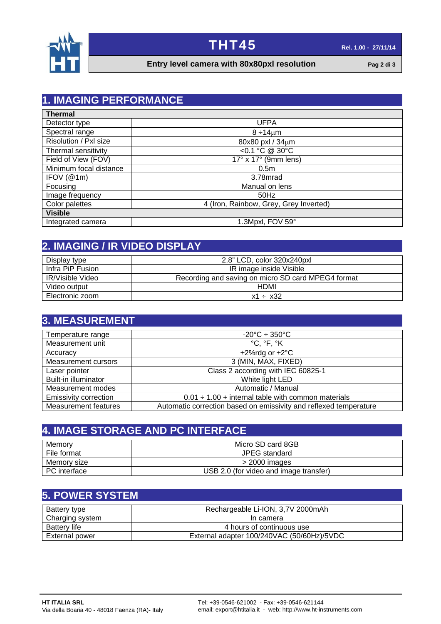



#### **Entry level camera with 80x80pxl resolution Pag 2 di 3**

## **1. IMAGING PERFORMANCE**

| <b>Thermal</b>         |                                        |  |
|------------------------|----------------------------------------|--|
| Detector type          | <b>UFPA</b>                            |  |
| Spectral range         | $8 \div 14 \mu m$                      |  |
| Risolution / Pxl size  | 80x80 pxl / 34um                       |  |
| Thermal sensitivity    | <0.1 °C @ 30°C                         |  |
| Field of View (FOV)    | $17^\circ$ x $17^\circ$ (9mm lens)     |  |
| Minimum focal distance | 0.5 <sub>m</sub>                       |  |
| IFOV(@1m)              | 3.78mrad                               |  |
| Focusing               | Manual on lens                         |  |
| Image frequency        | $50$ Hz                                |  |
| Color palettes         | 4 (Iron, Rainbow, Grey, Grey Inverted) |  |
| <b>Visible</b>         |                                        |  |
| Integrated camera      | 1.3Mpxl, FOV 59°                       |  |

## **2. IMAGING / IR VIDEO DISPLAY**

| Display type            | 2.8" LCD, color 320x240pxl                         |
|-------------------------|----------------------------------------------------|
| Infra PiP Fusion        | IR image inside Visible                            |
| <b>IR/Visible Video</b> | Recording and saving on micro SD card MPEG4 format |
| Video output            | <b>HDMI</b>                                        |
| Electronic zoom         | $x1 \div x32$                                      |

#### **3. MEASUREMENT** Temperature range  $\overline{z}$  and  $\overline{z}$  and  $\overline{z}$  and  $\overline{z}$  and  $\overline{z}$  and  $\overline{z}$  and  $\overline{z}$  and  $\overline{z}$  and  $\overline{z}$  and  $\overline{z}$  and  $\overline{z}$  and  $\overline{z}$  and  $\overline{z}$  and  $\overline{z}$  and  $\overline{z}$  and  $\overline{z}$ Measurement unit  $\begin{array}{ccc} \vert & \vert & \vert & \vert & \vert & \vert \end{array}$   $\begin{array}{ccc} \circ & \circ & \circ & \circ \\ \circ & \circ & \circ \end{array}$ Accuracy<br>
Measurement cursors<br>
Measurement cursors<br>
2 (MIN, MAX, FIXED) Measurement cursors Laser pointer<br>
Built-in illuminator<br>
Built-in illuminator<br>
Class 2 according with IEC 60825-1 Built-in illuminator Measurement modes and all the measurement modes and all the measurement modes and all the Manual Automatic / Manual Emissivity correction  $\vert$  0.01  $\div$  1.00 + internal table with common materials Measurement features | Automatic correction based on emissivity and reflexed temperature

| <b>4. IMAGE STORAGE AND PC INTERFACE,</b> |                                        |  |
|-------------------------------------------|----------------------------------------|--|
| Memorv                                    | Micro SD card 8GB                      |  |
| File format                               | JPEG standard                          |  |
| Memory size                               | $>$ 2000 images                        |  |
| PC interface                              | USB 2.0 (for video and image transfer) |  |

## **5. POWER SYSTEM**

| Battery type        | Rechargeable Li-ION, 3,7V 2000mAh          |
|---------------------|--------------------------------------------|
| Charging system     | In camera                                  |
| <b>Battery life</b> | 4 hours of continuous use                  |
| External power      | External adapter 100/240VAC (50/60Hz)/5VDC |